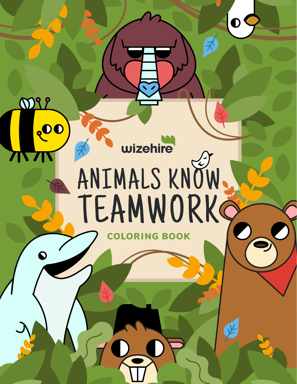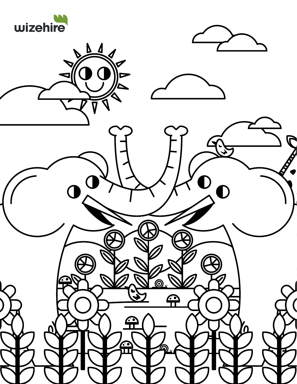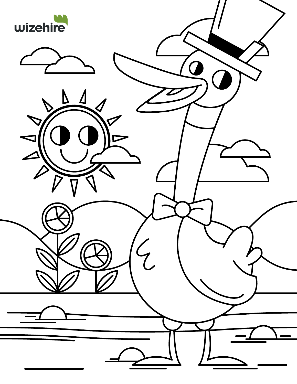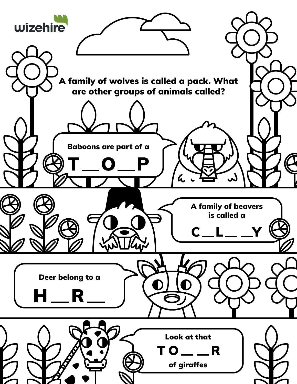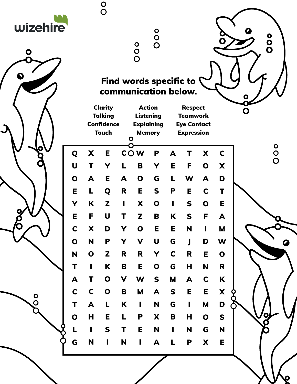| wizehire<br>$\bullet$ |                         |                           | $\begin{matrix}0\\0\end{matrix}$  |              | oo<br>O                                        | $\bullet$<br>$\overline{O}$        |                |                                         |              |              |   | $\frac{0}{0}$ |  |
|-----------------------|-------------------------|---------------------------|-----------------------------------|--------------|------------------------------------------------|------------------------------------|----------------|-----------------------------------------|--------------|--------------|---|---------------|--|
|                       |                         |                           | <b>Clarity</b><br><b>Talking</b>  |              | Find words specific to<br>communication below. | <b>Action</b><br><b>Listening</b>  |                | <b>Respect</b><br><b>Teamwork</b>       |              |              | Ö |               |  |
|                       |                         |                           | <b>Confidence</b><br><b>Touch</b> | $\mathbf{o}$ |                                                | <b>Explaining</b><br><b>Memory</b> |                | <b>Eye Contact</b><br><b>Expression</b> |              |              |   |               |  |
|                       | Q                       | X                         | Е                                 |              | <b>COW</b>                                     | P                                  | A              |                                         | X            | C            |   | oo            |  |
|                       | $\overline{\mathsf{U}}$ | T                         | Y                                 |              | B                                              | Y                                  | E              | F                                       | $\mathbf O$  | X            |   |               |  |
|                       | $\mathbf O$             | A                         | Е                                 | A            | $\mathbf 0$                                    | G                                  | L              | W                                       | A            | D            |   |               |  |
|                       | E                       | L                         | Q                                 | R            | Е                                              | S                                  | P              | E                                       | $\mathbf C$  | T            |   |               |  |
|                       | Y                       | K                         | Z                                 | п            | X                                              | $\mathbf O$                        | $\mathbf{I}$   | S                                       | $\mathbf O$  | E            |   |               |  |
|                       | Е                       | F                         | U                                 |              | Z                                              | B                                  | K              | S                                       | F            | А            |   |               |  |
|                       | C                       | $\boldsymbol{\mathsf{X}}$ | D                                 | Y            | $\mathbf O$                                    | Е                                  | E              | N                                       | $\mathbf{I}$ | M            |   |               |  |
|                       | $\mathbf O$             | N                         | P                                 | Y            | $\mathbf V$                                    | $\mathbf U$                        | G              | $\mathsf{J}$                            | D            | W            |   |               |  |
|                       | N                       | $\mathbf{o}$              | $\mathbf{Z}$                      | $\mathbf R$  | $\mathsf{R}$                                   | Y                                  | $\mathbf C$    | $\mathbf R$                             | E            | $\mathbf 0$  |   |               |  |
|                       | T                       | $\mathbf{I}$              | $\mathbf K$                       | $\mathbf B$  | E                                              | $\mathbf O$                        | G              | $\mathsf H$                             | N            | $\mathsf{R}$ |   |               |  |
|                       | $\blacktriangle$        | T                         | $\mathbf{o}$                      | $\mathbf V$  | W                                              | $\mathsf{s}$                       | $\mathbf M$    | $\blacktriangle$                        | $\mathbf C$  | K            |   |               |  |
| $\bullet$             | $\mathbf C$             | $\mathbf C$               | $\mathbf 0$                       | $\mathbf B$  | M                                              | A                                  | $\mathsf{s}$   | E                                       | E            | X            |   |               |  |
|                       | T                       | $\blacktriangle$          | $\mathbf{L}$                      | K            | $\mathbf{I}$                                   | $\mathbf N$                        | G              | $\mathbf{I}$                            | M            | D            |   |               |  |
|                       | $\mathbf 0$             | H                         | E                                 | L            | $\mathsf P$                                    | X                                  | $\mathbf B$    | H                                       | $\mathbf O$  | $\mathbf S$  |   |               |  |
|                       | L                       | $\mathbf{I}$              | $\mathbf S$                       | T            | E                                              | N                                  | $\blacksquare$ | N                                       | G            | N            |   |               |  |
|                       | G                       | N                         | $\mathbf{I}$                      | N            | $\mathbf{I}$                                   | $\blacktriangle$                   | L              | P                                       | X            | E            |   |               |  |
|                       |                         |                           |                                   |              |                                                |                                    |                |                                         |              |              |   |               |  |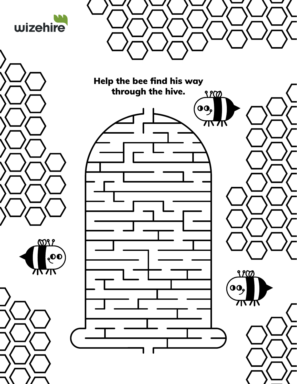





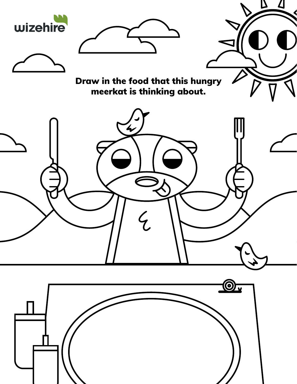